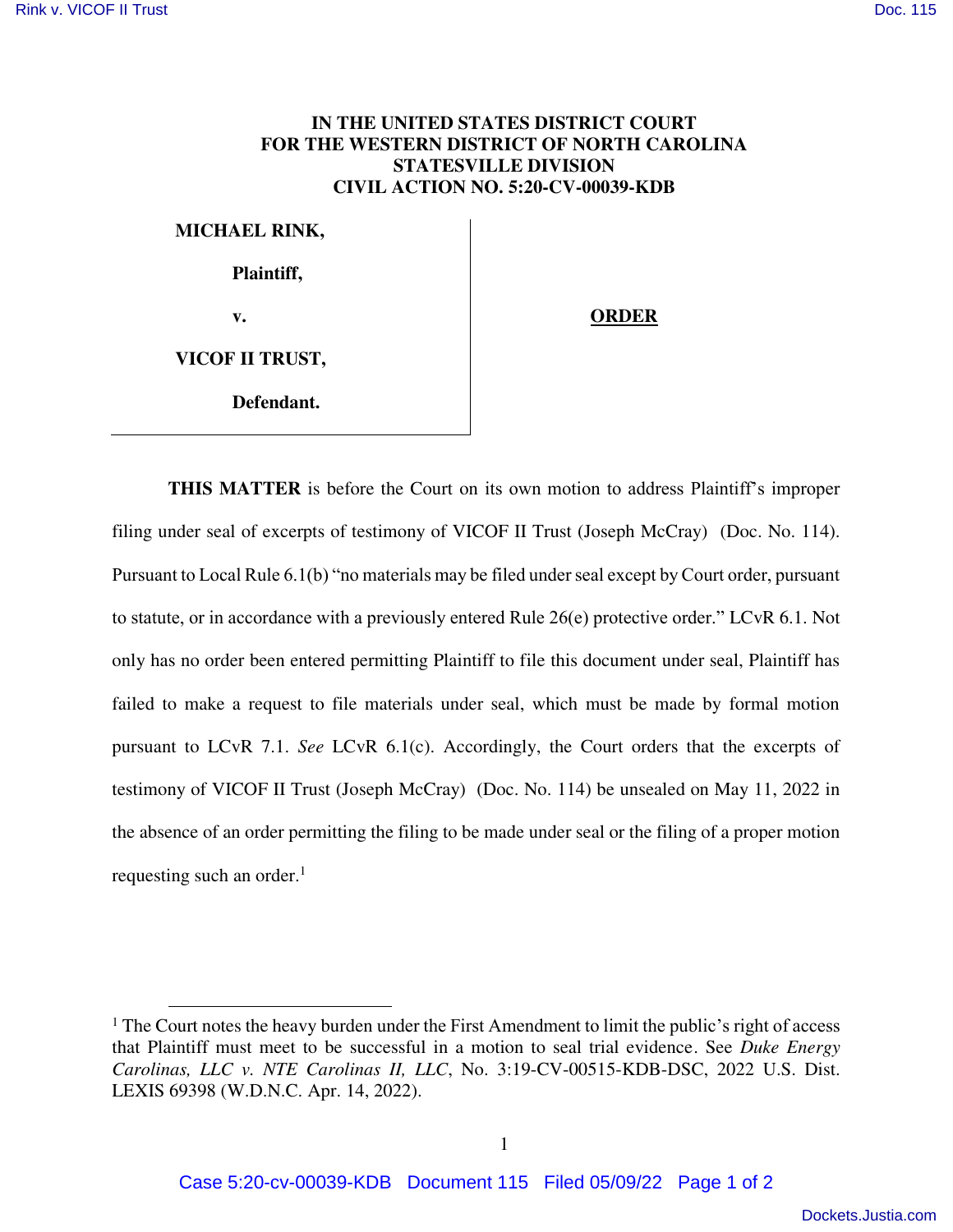## **IN THE UNITED STATES DISTRICT COURT FOR THE WESTERN DISTRICT OF NORTH CAROLINA STATESVILLE DIVISION CIVIL ACTION NO. 5:20-CV-00039-KDB**

**MICHAEL RINK, Plaintiff,**  v. **ORDER VICOF II TRUST, Defendant.** 

 $\overline{a}$ 

**THIS MATTER** is before the Court on its own motion to address Plaintiff's improper filing under seal of excerpts of testimony of VICOF II Trust (Joseph McCray) (Doc. No. 114). Pursuant to Local Rule 6.1(b) "no materials may be filed under seal except by Court order, pursuant to statute, or in accordance with a previously entered Rule 26(e) protective order." LCvR 6.1. Not only has no order been entered permitting Plaintiff to file this document under seal, Plaintiff has failed to make a request to file materials under seal, which must be made by formal motion pursuant to LCvR 7.1. *See* LCvR 6.1(c). Accordingly, the Court orders that the excerpts of testimony of VICOF II Trust (Joseph McCray) (Doc. No. 114) be unsealed on May 11, 2022 in the absence of an order permitting the filing to be made under seal or the filing of a proper motion requesting such an order. $<sup>1</sup>$ </sup>

<sup>&</sup>lt;sup>1</sup> The Court notes the heavy burden under the First Amendment to limit the public's right of access that Plaintiff must meet to be successful in a motion to seal trial evidence. See *[Duke Energy](https://plus.lexis.com/api/document/collection/cases/id/657B-7P21-JXNB-610G-00000-00?cite=2022%20U.S.%20Dist.%20LEXIS%2069398&context=1530671)  Carolinas, LLC v. NTE Carolinas II, LLC*[, No. 3:19-CV-00515-KDB-DSC, 2022 U.S. Dist.](https://plus.lexis.com/api/document/collection/cases/id/657B-7P21-JXNB-610G-00000-00?cite=2022%20U.S.%20Dist.%20LEXIS%2069398&context=1530671)  [LEXIS 69398 \(W.D.N.C. Apr. 14, 2022\).](https://plus.lexis.com/api/document/collection/cases/id/657B-7P21-JXNB-610G-00000-00?cite=2022%20U.S.%20Dist.%20LEXIS%2069398&context=1530671)